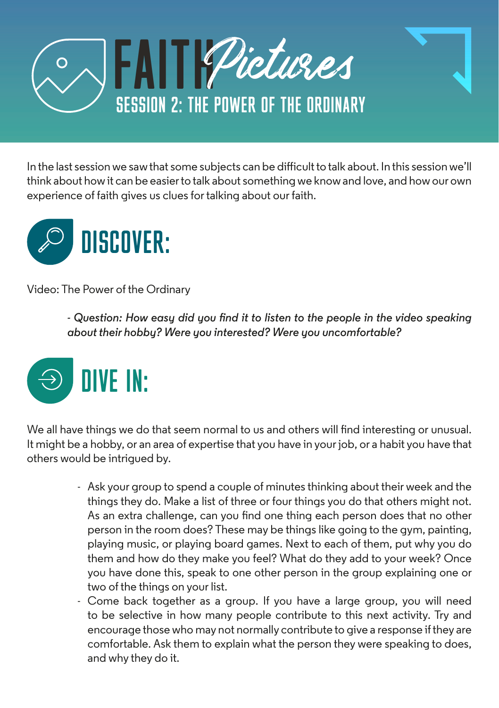

In the last session we saw that some subjects can be difficult to talk about. In this session we'll think about how it can be easier to talk about something we know and love, and how our own experience of faith gives us clues for talking about our faith.



Video: The Power of the Ordinary

*- Question: How easy did you find it to listen to the people in the video speaking about their hobby? Were you interested? Were you uncomfortable?* 



We all have things we do that seem normal to us and others will find interesting or unusual. It might be a hobby, or an area of expertise that you have in your job, or a habit you have that others would be intrigued by.

- Ask your group to spend a couple of minutes thinking about their week and the things they do. Make a list of three or four things you do that others might not. As an extra challenge, can you find one thing each person does that no other person in the room does? These may be things like going to the gym, painting, playing music, or playing board games. Next to each of them, put why you do them and how do they make you feel? What do they add to your week? Once you have done this, speak to one other person in the group explaining one or two of the things on your list.
- Come back together as a group. If you have a large group, you will need to be selective in how many people contribute to this next activity. Try and encourage those who may not normally contribute to give a response if they are comfortable. Ask them to explain what the person they were speaking to does, and why they do it.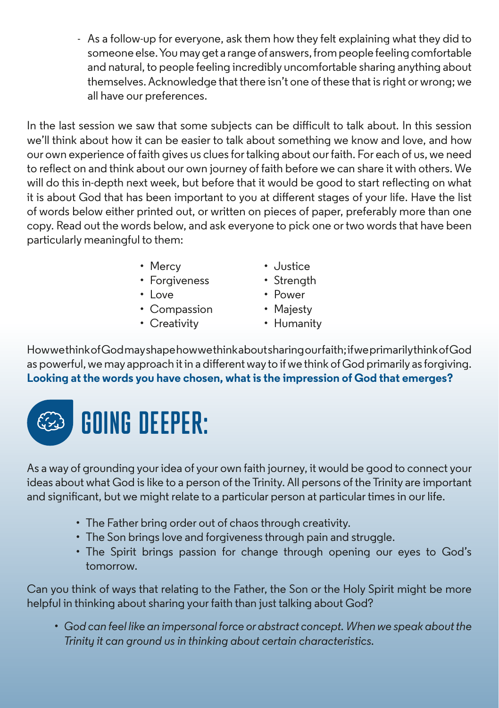- As a follow-up for everyone, ask them how they felt explaining what they did to someone else. You may get a range of answers, from people feeling comfortable and natural, to people feeling incredibly uncomfortable sharing anything about themselves. Acknowledge that there isn't one of these that is right or wrong; we all have our preferences.

In the last session we saw that some subjects can be difficult to talk about. In this session we'll think about how it can be easier to talk about something we know and love, and how our own experience of faith gives us clues for talking about our faith. For each of us, we need to reflect on and think about our own journey of faith before we can share it with others. We will do this in-depth next week, but before that it would be good to start reflecting on what it is about God that has been important to you at different stages of your life. Have the list of words below either printed out, or written on pieces of paper, preferably more than one copy. Read out the words below, and ask everyone to pick one or two words that have been particularly meaningful to them:

- Mercy
- Forgiveness
- $\cdot$  Love
- Compassion
- Creativity
- Justice
- Strenath
- Power
- Majesty
- Humanity

How we think of God may shape how we think about sharing our faith; if we primarily think of God as powerful, we may approach it in a different way to if we think of God primarily as forgiving. **Looking at the words you have chosen, what is the impression of God that emerges?**



As a way of grounding your idea of your own faith journey, it would be good to connect your ideas about what God is like to a person of the Trinity. All persons of the Trinity are important and significant, but we might relate to a particular person at particular times in our life.

- The Father bring order out of chaos through creativity.
- The Son brings love and forgiveness through pain and struggle.
- The Spirit brings passion for change through opening our eyes to God's tomorrow.

Can you think of ways that relating to the Father, the Son or the Holy Spirit might be more helpful in thinking about sharing your faith than just talking about God?

*• God can feel like an impersonal force or abstract concept. When we speak about the Trinity it can ground us in thinking about certain characteristics.*